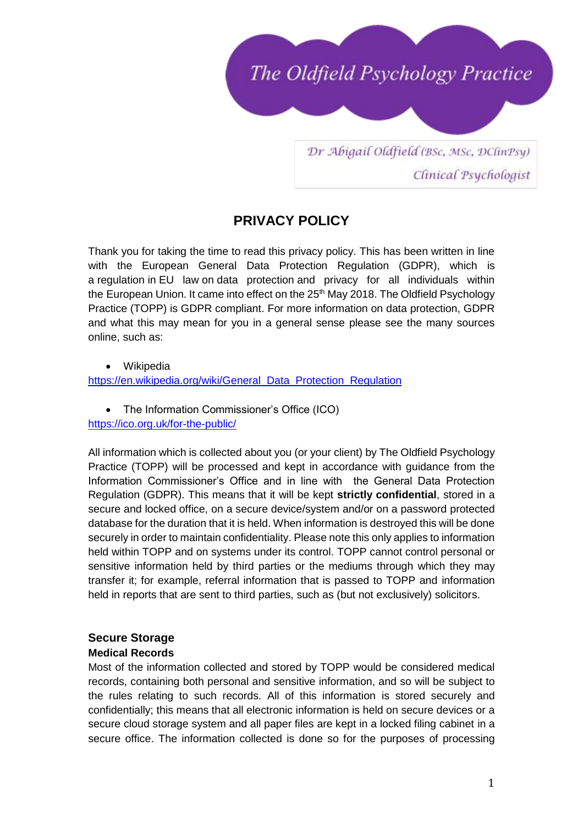

Dr Abigail Oldfield (BSc, MSc, DClinPsy) Clinical Psychologist

# **PRIVACY POLICY**

Thank you for taking the time to read this privacy policy. This has been written in line with the European General Data Protection Regulation (GDPR), which is a [regulation](https://en.wikipedia.org/wiki/Regulation_(European_Union)) in [EU law](https://en.wikipedia.org/wiki/EU_law) on [data protection](https://en.wikipedia.org/wiki/Data_protection) and privacy for all individuals within the [European Union.](https://en.wikipedia.org/wiki/European_Union) It came into effect on the 25<sup>th</sup> May 2018. The Oldfield Psychology Practice (TOPP) is GDPR compliant. For more information on data protection, GDPR and what this may mean for you in a general sense please see the many sources online, such as:

• Wikipedia [https://en.wikipedia.org/wiki/General\\_Data\\_Protection\\_Regulation](https://en.wikipedia.org/wiki/General_Data_Protection_Regulation)

• The Information Commissioner's Office (ICO) <https://ico.org.uk/for-the-public/>

All information which is collected about you (or your client) by The Oldfield Psychology Practice (TOPP) will be processed and kept in accordance with guidance from the Information Commissioner's Office and in line with the General Data Protection Regulation (GDPR). This means that it will be kept **strictly confidential**, stored in a secure and locked office, on a secure device/system and/or on a password protected database for the duration that it is held. When information is destroyed this will be done securely in order to maintain confidentiality. Please note this only applies to information held within TOPP and on systems under its control. TOPP cannot control personal or sensitive information held by third parties or the mediums through which they may transfer it; for example, referral information that is passed to TOPP and information held in reports that are sent to third parties, such as (but not exclusively) solicitors.

# **Secure Storage**

#### **Medical Records**

Most of the information collected and stored by TOPP would be considered medical records, containing both personal and sensitive information, and so will be subject to the rules relating to such records. All of this information is stored securely and confidentially; this means that all electronic information is held on secure devices or a secure cloud storage system and all paper files are kept in a locked filing cabinet in a secure office. The information collected is done so for the purposes of processing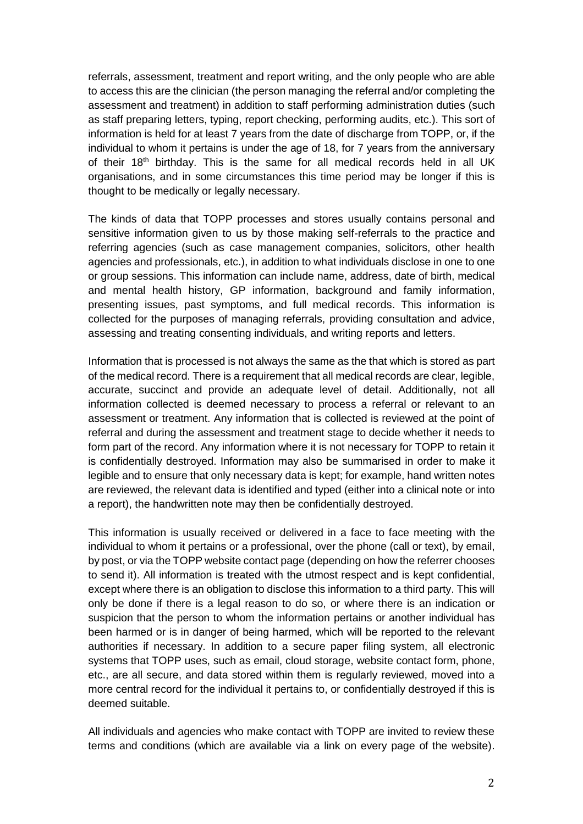referrals, assessment, treatment and report writing, and the only people who are able to access this are the clinician (the person managing the referral and/or completing the assessment and treatment) in addition to staff performing administration duties (such as staff preparing letters, typing, report checking, performing audits, etc.). This sort of information is held for at least 7 years from the date of discharge from TOPP, or, if the individual to whom it pertains is under the age of 18, for 7 years from the anniversary of their  $18<sup>th</sup>$  birthday. This is the same for all medical records held in all UK organisations, and in some circumstances this time period may be longer if this is thought to be medically or legally necessary.

The kinds of data that TOPP processes and stores usually contains personal and sensitive information given to us by those making self-referrals to the practice and referring agencies (such as case management companies, solicitors, other health agencies and professionals, etc.), in addition to what individuals disclose in one to one or group sessions. This information can include name, address, date of birth, medical and mental health history, GP information, background and family information, presenting issues, past symptoms, and full medical records. This information is collected for the purposes of managing referrals, providing consultation and advice, assessing and treating consenting individuals, and writing reports and letters.

Information that is processed is not always the same as the that which is stored as part of the medical record. There is a requirement that all medical records are clear, legible, accurate, succinct and provide an adequate level of detail. Additionally, not all information collected is deemed necessary to process a referral or relevant to an assessment or treatment. Any information that is collected is reviewed at the point of referral and during the assessment and treatment stage to decide whether it needs to form part of the record. Any information where it is not necessary for TOPP to retain it is confidentially destroyed. Information may also be summarised in order to make it legible and to ensure that only necessary data is kept; for example, hand written notes are reviewed, the relevant data is identified and typed (either into a clinical note or into a report), the handwritten note may then be confidentially destroyed.

This information is usually received or delivered in a face to face meeting with the individual to whom it pertains or a professional, over the phone (call or text), by email, by post, or via the TOPP website contact page (depending on how the referrer chooses to send it). All information is treated with the utmost respect and is kept confidential, except where there is an obligation to disclose this information to a third party. This will only be done if there is a legal reason to do so, or where there is an indication or suspicion that the person to whom the information pertains or another individual has been harmed or is in danger of being harmed, which will be reported to the relevant authorities if necessary. In addition to a secure paper filing system, all electronic systems that TOPP uses, such as email, cloud storage, website contact form, phone, etc., are all secure, and data stored within them is regularly reviewed, moved into a more central record for the individual it pertains to, or confidentially destroyed if this is deemed suitable.

All individuals and agencies who make contact with TOPP are invited to review these terms and conditions (which are available via a link on every page of the website).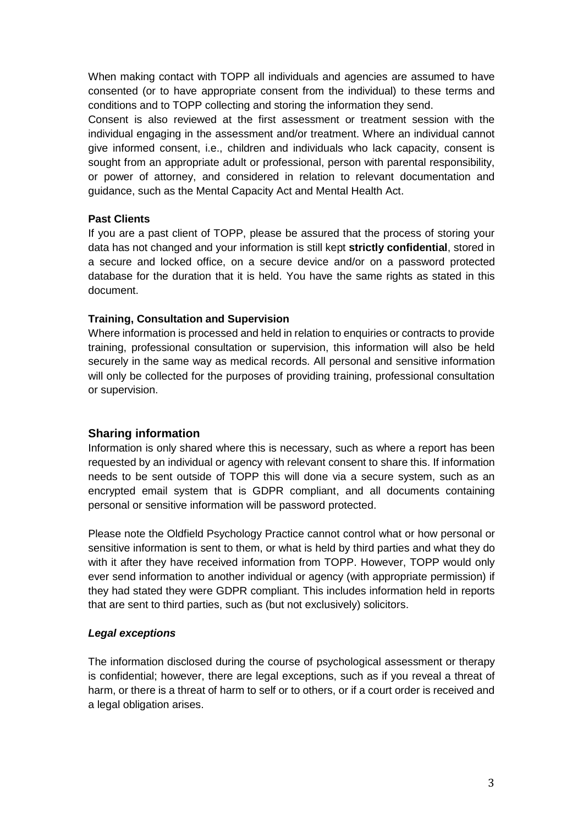When making contact with TOPP all individuals and agencies are assumed to have consented (or to have appropriate consent from the individual) to these terms and conditions and to TOPP collecting and storing the information they send.

Consent is also reviewed at the first assessment or treatment session with the individual engaging in the assessment and/or treatment. Where an individual cannot give informed consent, i.e., children and individuals who lack capacity, consent is sought from an appropriate adult or professional, person with parental responsibility, or power of attorney, and considered in relation to relevant documentation and guidance, such as the Mental Capacity Act and Mental Health Act.

#### **Past Clients**

If you are a past client of TOPP, please be assured that the process of storing your data has not changed and your information is still kept **strictly confidential**, stored in a secure and locked office, on a secure device and/or on a password protected database for the duration that it is held. You have the same rights as stated in this document.

#### **Training, Consultation and Supervision**

Where information is processed and held in relation to enquiries or contracts to provide training, professional consultation or supervision, this information will also be held securely in the same way as medical records. All personal and sensitive information will only be collected for the purposes of providing training, professional consultation or supervision.

#### **Sharing information**

Information is only shared where this is necessary, such as where a report has been requested by an individual or agency with relevant consent to share this. If information needs to be sent outside of TOPP this will done via a secure system, such as an encrypted email system that is GDPR compliant, and all documents containing personal or sensitive information will be password protected.

Please note the Oldfield Psychology Practice cannot control what or how personal or sensitive information is sent to them, or what is held by third parties and what they do with it after they have received information from TOPP. However, TOPP would only ever send information to another individual or agency (with appropriate permission) if they had stated they were GDPR compliant. This includes information held in reports that are sent to third parties, such as (but not exclusively) solicitors.

#### *Legal exceptions*

The information disclosed during the course of psychological assessment or therapy is confidential; however, there are legal exceptions, such as if you reveal a threat of harm, or there is a threat of harm to self or to others, or if a court order is received and a legal obligation arises.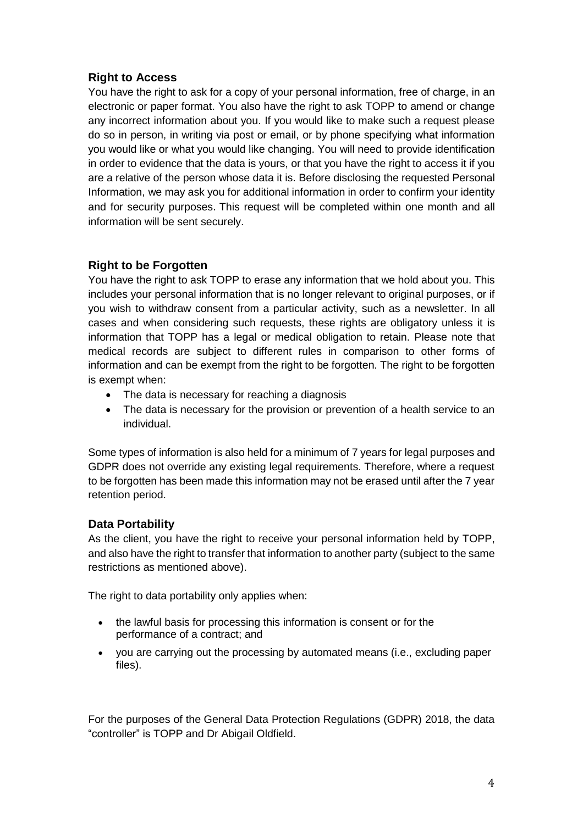# **Right to Access**

You have the right to ask for a copy of your personal information, free of charge, in an electronic or paper format. You also have the right to ask TOPP to amend or change any incorrect information about you. If you would like to make such a request please do so in person, in writing via post or email, or by phone specifying what information you would like or what you would like changing. You will need to provide identification in order to evidence that the data is yours, or that you have the right to access it if you are a relative of the person whose data it is. Before disclosing the requested Personal Information, we may ask you for additional information in order to confirm your identity and for security purposes. This request will be completed within one month and all information will be sent securely.

# **Right to be Forgotten**

You have the right to ask TOPP to erase any information that we hold about you. This includes your personal information that is no longer relevant to original purposes, or if you wish to withdraw consent from a particular activity, such as a newsletter. In all cases and when considering such requests, these rights are obligatory unless it is information that TOPP has a legal or medical obligation to retain. Please note that medical records are subject to different rules in comparison to other forms of information and can be exempt from the right to be forgotten. The right to be forgotten is exempt when:

- The data is necessary for reaching a diagnosis
- The data is necessary for the provision or prevention of a health service to an individual.

Some types of information is also held for a minimum of 7 years for legal purposes and GDPR does not override any existing legal requirements. Therefore, where a request to be forgotten has been made this information may not be erased until after the 7 year retention period.

# **Data Portability**

As the client, you have the right to receive your personal information held by TOPP, and also have the right to transfer that information to another party (subject to the same restrictions as mentioned above).

The right to data portability only applies when:

- the lawful basis for processing this information is consent or for the performance of a contract; and
- you are carrying out the processing by automated means (i.e., excluding paper files).

For the purposes of the General Data Protection Regulations (GDPR) 2018, the data "controller" is TOPP and Dr Abigail Oldfield.